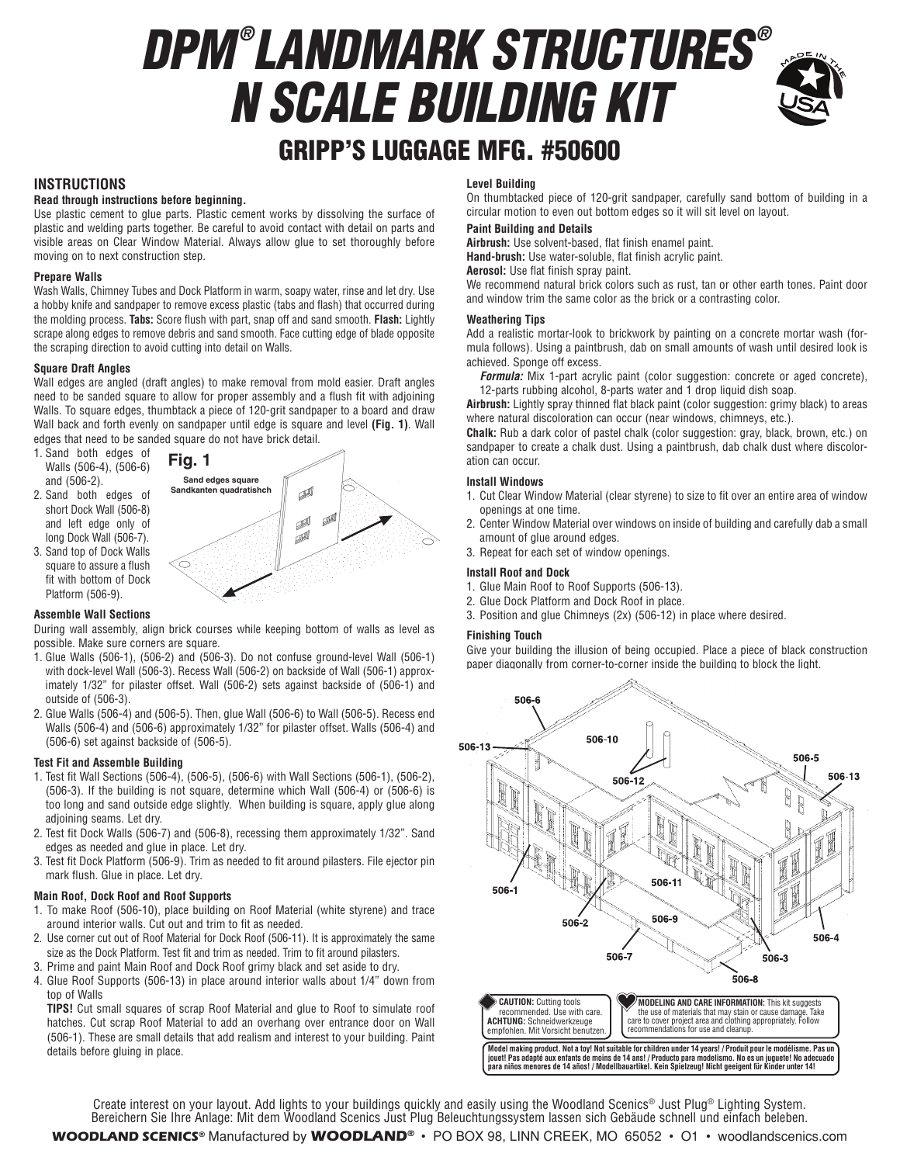# *DPM ® LANDMARK STRUCTURES ® N SCALE BUILDING KIT*



# GRIPP'S LUGGAGE MFG. #50600

# **INSTRUCTIONS**

# **Read through instructions before beginning.**

Use plastic cement to glue parts. Plastic cement works by dissolving the surface of plastic and welding parts together. Be careful to avoid contact with detail on parts and visible areas on Clear Window Material. Always allow glue to set thoroughly before moving on to next construction step.

# **Prepare Walls**

Wash Walls, Chimney Tubes and Dock Platform in warm, soapy water, rinse and let dry. Use a hobby knife and sandpaper to remove excess plastic (tabs and flash) that occurred during the molding process. **Tabs:** Score flush with part, snap off and sand smooth. **Flash:** Lightly scrape along edges to remove debris and sand smooth. Face cutting edge of blade opposite the scraping direction to avoid cutting into detail on Walls.

# **Square Draft Angles**

Wall edges are angled (draft angles) to make removal from mold easier. Draft angles need to be sanded square to allow for proper assembly and a flush fit with adjoining Walls. To square edges, thumbtack a piece of 120-grit sandpaper to a board and draw Wall back and forth evenly on sandpaper until edge is square and level **(Fig. 1)**. Wall edges that need to be sanded square do not have brick detail.

- 1. Sand both edges of Walls (506-4), (506-6) and (506-2).
- 2. Sand both edges of short Dock Wall (506-8) and left edge only of long Dock Wall (506-7).
- 3. Sand top of Dock Walls square to assure a flush fit with bottom of Dock Platform (506-9).



# **Assemble Wall Sections**

During wall assembly, align brick courses while keeping bottom of walls as level as possible. Make sure corners are square.

- 1. Glue Walls (506-1), (506-2) and (506-3). Do not confuse ground-level Wall (506-1) with dock-level Wall (506-3). Recess Wall (506-2) on backside of Wall (506-1) approximately 1/32" for pilaster offset. Wall (506-2) sets against backside of (506-1) and outside of (506-3).
- 2. Glue Walls (506-4) and (506-5). Then, glue Wall (506-6) to Wall (506-5). Recess end Walls (506-4) and (506-6) approximately 1/32" for pilaster offset. Walls (506-4) and (506-6) set against backside of (506-5).

# **Test Fit and Assemble Building**

- 1. Test fit Wall Sections (506-4), (506-5), (506-6) with Wall Sections (506-1), (506-2), (506-3). If the building is not square, determine which Wall (506-4) or (506-6) is too long and sand outside edge slightly. When building is square, apply glue along adjoining seams. Let dry.
- 2. Test fit Dock Walls (506-7) and (506-8), recessing them approximately 1/32". Sand edges as needed and glue in place. Let dry.
- 3. Test fit Dock Platform (506-9). Trim as needed to fit around pilasters. File ejector pin mark flush. Glue in place. Let dry.

# **Main Roof, Dock Roof and Roof Supports**

- 1. To make Roof (506-10), place building on Roof Material (white styrene) and trace around interior walls. Cut out and trim to fit as needed.
- 2. Use corner cut out of Roof Material for Dock Roof (506-11). It is approximately the same size as the Dock Platform. Test fit and trim as needed. Trim to fit around pilasters.
- 3. Prime and paint Main Roof and Dock Roof grimy black and set aside to dry.
- 4. Glue Roof Supports (506-13) in place around interior walls about 1/4" down from top of Walls

**TIPS!** Cut small squares of scrap Roof Material and glue to Roof to simulate roof hatches. Cut scrap Roof Material to add an overhang over entrance door on Wall (506-1). These are small details that add realism and interest to your building. Paint details before gluing in place.

# **Level Building**

On thumbtacked piece of 120-grit sandpaper, carefully sand bottom of building in a circular motion to even out bottom edges so it will sit level on layout.

# **Paint Building and Details**

**Airbrush:** Use solvent-based, flat finish enamel paint.

**Hand-brush:** Use water-soluble, flat finish acrylic paint.

**Aerosol:** Use flat finish spray paint.

We recommend natural brick colors such as rust, tan or other earth tones. Paint door and window trim the same color as the brick or a contrasting color.

# **Weathering Tips**

Add a realistic mortar-look to brickwork by painting on a concrete mortar wash (formula follows). Using a paintbrush, dab on small amounts of wash until desired look is achieved. Sponge off excess.

*Formula:* Mix 1-part acrylic paint (color suggestion: concrete or aged concrete), 12-parts rubbing alcohol, 8-parts water and 1 drop liquid dish soap.

**Airbrush:** Lightly spray thinned flat black paint (color suggestion: grimy black) to areas where natural discoloration can occur (near windows, chimneys, etc.).

**Chalk:** Rub a dark color of pastel chalk (color suggestion: gray, black, brown, etc.) on sandpaper to create a chalk dust. Using a paintbrush, dab chalk dust where discoloration can occur.

# **Install Windows**

- 1. Cut Clear Window Material (clear styrene) to size to fit over an entire area of window openings at one time.
- 2. Center Window Material over windows on inside of building and carefully dab a small amount of glue around edges.
- 3. Repeat for each set of window openings.

# **Install Roof and Dock**

- 1. Glue Main Roof to Roof Supports (506-13).
- 2. Glue Dock Platform and Dock Roof in place.
- 3. Position and glue Chimneys (2x) (506-12) in place where desired.

# **Finishing Touch**

Give your building the illusion of being occupied. Place a piece of black construction paper diagonally from corner-to-corner inside the building to block the light.



Create interest on your layout. Add lights to your buildings quickly and easily using the Woodland Scenics® Just Plug® Lighting System. Bereichern Sie Ihre Anlage: Mit dem Woodland Scenics Just Plug Beleuchtungssystem lassen sich Gebäude schnell und einfach beleben.